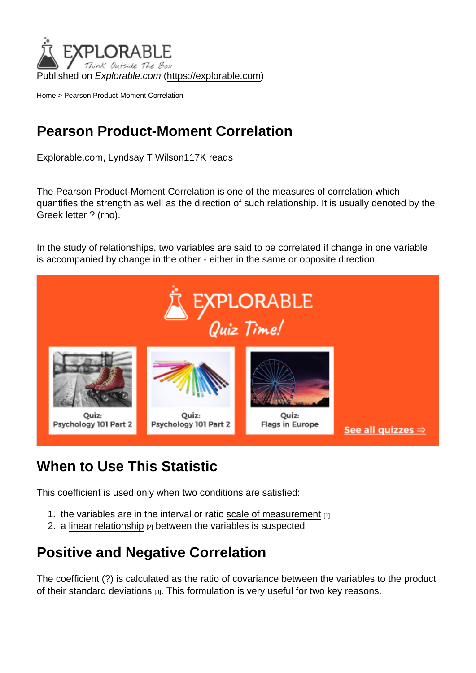Published on Explorable.com (<https://explorable.com>)

[Home](https://explorable.com/) > Pearson Product-Moment Correlation

## Pearson Product-Moment Correlation

Explorable.com, Lyndsay T Wilson117K reads

The Pearson Product-Moment Correlation is one of the measures of correlation which quantifies the strength as well as the direction of such relationship. It is usually denoted by the Greek letter ? (rho).

In the study of relationships, two variables are said to be correlated if change in one variable is accompanied by change in the other - either in the same or opposite direction.

## When to Use This Statistic

This coefficient is used only when two conditions are satisfied:

- 1. the variables are in the interval or ratio [scale of measurement](https://explorable.com/measurement-scales) [1]
- 2. a [linear relationship](https://explorable.com/linear-relationship)  $[2]$  between the variables is suspected

## Positive and Negative Correlation

The coefficient (?) is calculated as the ratio of covariance between the variables to the product of their [standard deviations](https://explorable.com/calculate-standard-deviation) [3]. This formulation is very useful for two key reasons.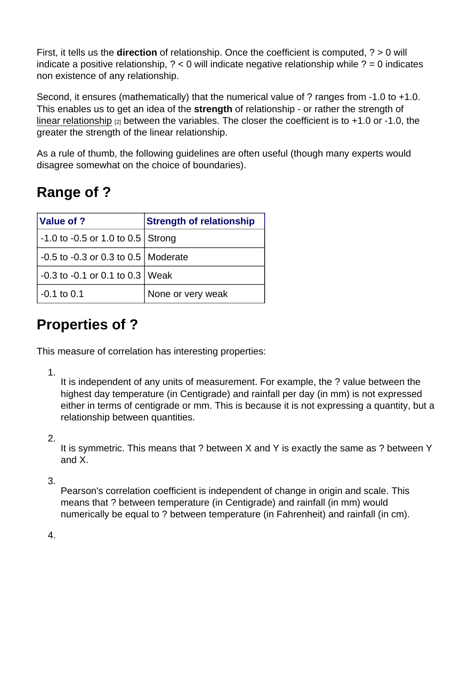First, it tells us the direction of relationship. Once the coefficient is computed, ? > 0 will indicate a positive relationship, ? < 0 will indicate negative relationship while ? = 0 indicates non existence of any relationship.

Second, it ensures (mathematically) that the numerical value of ? ranges from -1.0 to +1.0. This enables us to get an idea of the strength of relationship - or rather the strength of [linear relationship](https://explorable.com/linear-relationship)  $[2]$  between the variables. The closer the coefficient is to  $+1.0$  or  $-1.0$ , the greater the strength of the linear relationship.

As a rule of thumb, the following guidelines are often useful (though many experts would disagree somewhat on the choice of boundaries).

# Range of ?

| Value of ?                                | <b>Strength of relationship</b> |
|-------------------------------------------|---------------------------------|
| $-1.0$ to $-0.5$ or 1.0 to 0.5 Strong     |                                 |
| $-0.5$ to $-0.3$ or 0.3 to 0.5   Moderate |                                 |
| $\sim$ -0.3 to -0.1 or 0.1 to 0.3 Weak    |                                 |
| $-0.1$ to 0.1                             | None or very weak               |

## Properties of ?

This measure of correlation has interesting properties:

1.

It is independent of any units of measurement. For example, the ? value between the highest day temperature (in Centigrade) and rainfall per day (in mm) is not expressed either in terms of centigrade or mm. This is because it is not expressing a quantity, but a relationship between quantities.

2.

It is symmetric. This means that ? between X and Y is exactly the same as ? between Y and X.

3.

Pearson's correlation coefficient is independent of change in origin and scale. This means that ? between temperature (in Centigrade) and rainfall (in mm) would numerically be equal to ? between temperature (in Fahrenheit) and rainfall (in cm).

4.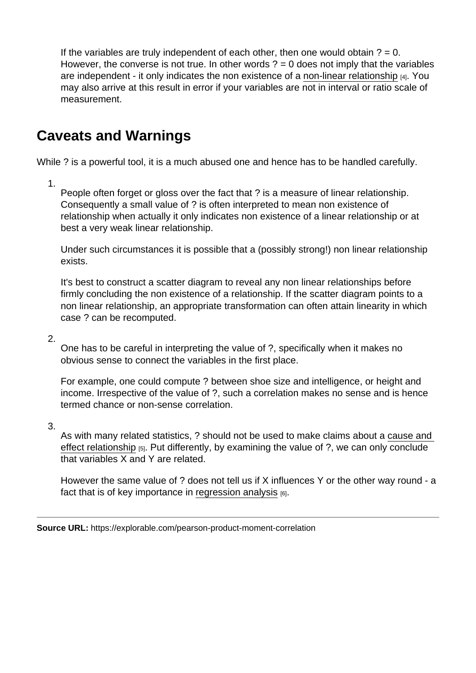If the variables are truly independent of each other, then one would obtain  $? = 0$ . However, the converse is not true. In other words  $? = 0$  does not imply that the variables are independent - it only indicates the non existence of a [non-linear relationship](https://explorable.com/non-linear-relationship) [4]. You may also arrive at this result in error if your variables are not in interval or ratio scale of measurement.

## Caveats and Warnings

While ? is a powerful tool, it is a much abused one and hence has to be handled carefully.

1.

People often forget or gloss over the fact that ? is a measure of linear relationship. Consequently a small value of ? is often interpreted to mean non existence of relationship when actually it only indicates non existence of a linear relationship or at best a very weak linear relationship.

Under such circumstances it is possible that a (possibly strong!) non linear relationship exists.

It's best to construct a scatter diagram to reveal any non linear relationships before firmly concluding the non existence of a relationship. If the scatter diagram points to a non linear relationship, an appropriate transformation can often attain linearity in which case ? can be recomputed.

2.

One has to be careful in interpreting the value of ?, specifically when it makes no obvious sense to connect the variables in the first place.

For example, one could compute ? between shoe size and intelligence, or height and income. Irrespective of the value of ?, such a correlation makes no sense and is hence termed chance or non-sense correlation.

3.

As with many related statistics, ? should not be used to make claims about a [cause and](https://explorable.com/cause-and-effect)  [effect relationship](https://explorable.com/cause-and-effect)  $[5]$ . Put differently, by examining the value of ?, we can only conclude that variables X and Y are related.

However the same value of ? does not tell us if X influences Y or the other way round - a fact that is of key importance in [regression analysis](https://explorable.com/linear-regression-analysis)  $[6]$ .

Source URL: https://explorable.com/pearson-product-moment-correlation